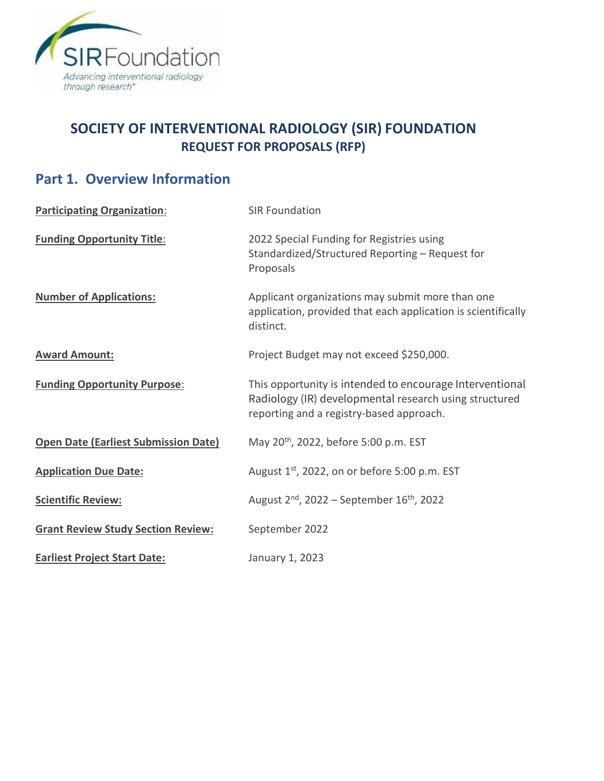

# **SOCIETY OF INTERVENTIONAL RADIOLOGY (SIR) FOUNDATION REQUEST FOR PROPOSALS (RFP)**

# **Part 1. Overview Information**

| <b>Participating Organization:</b>          | <b>SIR Foundation</b>                                                                                                                                          |
|---------------------------------------------|----------------------------------------------------------------------------------------------------------------------------------------------------------------|
| <b>Funding Opportunity Title:</b>           | 2022 Special Funding for Registries using<br>Standardized/Structured Reporting - Request for<br>Proposals                                                      |
| <b>Number of Applications:</b>              | Applicant organizations may submit more than one<br>application, provided that each application is scientifically<br>distinct.                                 |
| <b>Award Amount:</b>                        | Project Budget may not exceed \$250,000.                                                                                                                       |
| <b>Funding Opportunity Purpose:</b>         | This opportunity is intended to encourage Interventional<br>Radiology (IR) developmental research using structured<br>reporting and a registry-based approach. |
| <b>Open Date (Earliest Submission Date)</b> | May 20 <sup>th</sup> , 2022, before 5:00 p.m. EST                                                                                                              |
| <b>Application Due Date:</b>                | August $1st$ , 2022, on or before 5:00 p.m. EST                                                                                                                |
| <b>Scientific Review:</b>                   | August $2^{nd}$ , 2022 – September 16 <sup>th</sup> , 2022                                                                                                     |
| <b>Grant Review Study Section Review:</b>   | September 2022                                                                                                                                                 |
| <b>Earliest Project Start Date:</b>         | January 1, 2023                                                                                                                                                |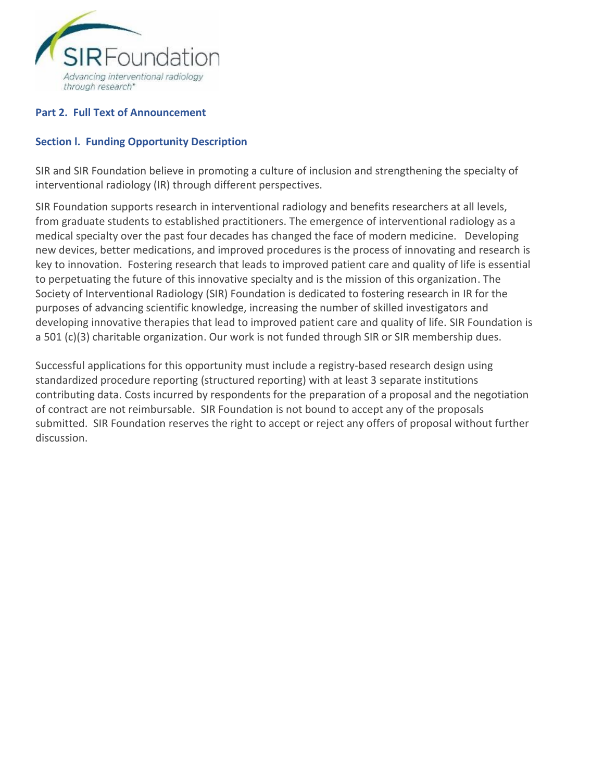

#### **Part 2. Full Text of Announcement**

#### **Section l. Funding Opportunity Description**

SIR and SIR Foundation believe in promoting a culture of inclusion and strengthening the specialty of interventional radiology (IR) through different perspectives.

SIR Foundation supports research in interventional radiology and benefits researchers at all levels, from graduate students to established practitioners. The emergence of interventional radiology as a medical specialty over the past four decades has changed the face of modern medicine. Developing new devices, better medications, and improved procedures is the process of innovating and research is key to innovation. Fostering research that leads to improved patient care and quality of life is essential to perpetuating the future of this innovative specialty and is the mission of this organization. The Society of Interventional Radiology (SIR) Foundation is dedicated to fostering research in IR for the purposes of advancing scientific knowledge, increasing the number of skilled investigators and developing innovative therapies that lead to improved patient care and quality of life. SIR Foundation is a 501 (c)(3) charitable organization. Our work is not funded through SIR or SIR membership dues.

Successful applications for this opportunity must include a registry-based research design using standardized procedure reporting (structured reporting) with at least 3 separate institutions contributing data. Costs incurred by respondents for the preparation of a proposal and the negotiation of contract are not reimbursable. SIR Foundation is not bound to accept any of the proposals submitted. SIR Foundation reserves the right to accept or reject any offers of proposal without further discussion.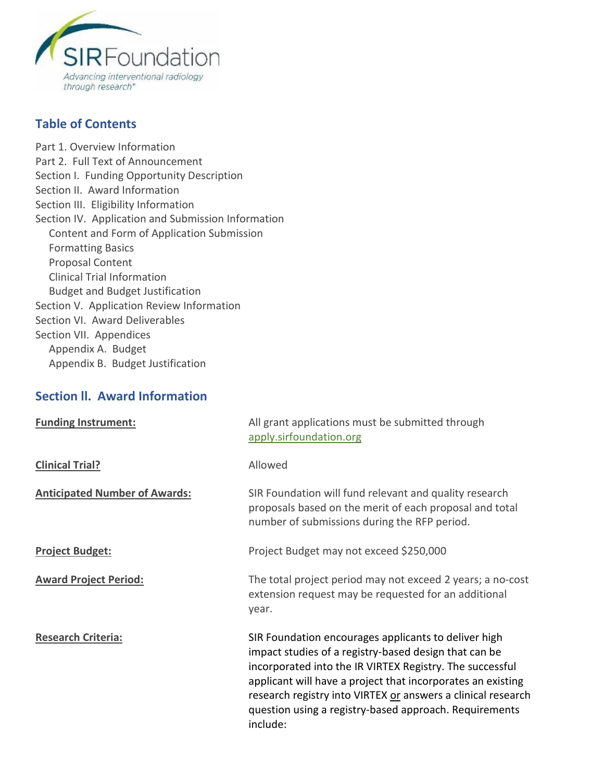

#### **Table of Contents**

[Part 1. Overview Information](https://grants.nih.gov/grants/guide/pa-files/PA-20-195.html#_Part_1._Overview) [Part 2. Full Text of Announcement](https://grants.nih.gov/grants/guide/pa-files/PA-20-195.html#_Part_2._Full) Section I. [Funding Opportunity Description](https://grants.nih.gov/grants/guide/pa-files/PA-20-195.html#_Section_I._Funding) [Section II. Award Information](https://grants.nih.gov/grants/guide/pa-files/PA-20-195.html#_Section_II._Award_1) [Section III. Eligibility Information](https://grants.nih.gov/grants/guide/pa-files/PA-20-195.html#_Section_III._Eligibility) [Section IV. Application and Submission Information](https://grants.nih.gov/grants/guide/pa-files/PA-20-195.html#_Section_IV._Application_1) Content and Form of Application Submission Formatting Basics Proposal Content Clinical Trial Information Budget and Budget Justification [Section V. Application Review Information](https://grants.nih.gov/grants/guide/pa-files/PA-20-195.html#_Section_V._Application) Section VI. Award Deliverables Section VII. Appendices Appendix A. Budget Appendix B. Budget Justification

#### **Section ll. Award Information**

| <b>Funding Instrument:</b>           | All grant applications must be submitted through<br>apply.sirfoundation.org                                                                                                                                                                                                                                                                                                    |
|--------------------------------------|--------------------------------------------------------------------------------------------------------------------------------------------------------------------------------------------------------------------------------------------------------------------------------------------------------------------------------------------------------------------------------|
| <b>Clinical Trial?</b>               | Allowed                                                                                                                                                                                                                                                                                                                                                                        |
| <b>Anticipated Number of Awards:</b> | SIR Foundation will fund relevant and quality research<br>proposals based on the merit of each proposal and total<br>number of submissions during the RFP period.                                                                                                                                                                                                              |
| <b>Project Budget:</b>               | Project Budget may not exceed \$250,000                                                                                                                                                                                                                                                                                                                                        |
| <b>Award Project Period:</b>         | The total project period may not exceed 2 years; a no-cost<br>extension request may be requested for an additional<br>year.                                                                                                                                                                                                                                                    |
| <b>Research Criteria:</b>            | SIR Foundation encourages applicants to deliver high<br>impact studies of a registry-based design that can be<br>incorporated into the IR VIRTEX Registry. The successful<br>applicant will have a project that incorporates an existing<br>research registry into VIRTEX or answers a clinical research<br>question using a registry-based approach. Requirements<br>include: |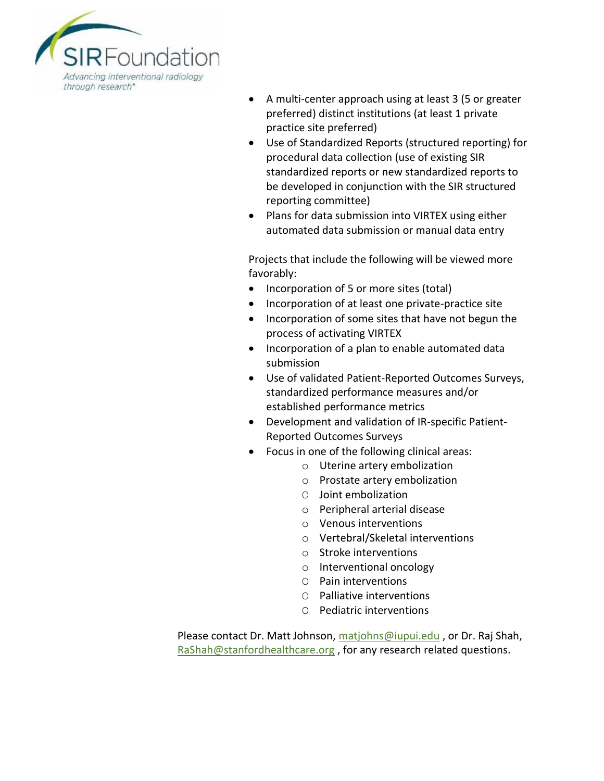

- A multi-center approach using at least 3 (5 or greater preferred) distinct institutions (at least 1 private practice site preferred)
- Use of Standardized Reports (structured reporting) for procedural data collection (use of existing SIR standardized reports or new standardized reports to be developed in conjunction with the SIR structured reporting committee)
- Plans for data submission into VIRTEX using either automated data submission or manual data entry

Projects that include the following will be viewed more favorably:

- Incorporation of 5 or more sites (total)
- Incorporation of at least one private-practice site
- Incorporation of some sites that have not begun the process of activating VIRTEX
- Incorporation of a plan to enable automated data submission
- Use of validated Patient-Reported Outcomes Surveys, standardized performance measures and/or established performance metrics
- Development and validation of IR-specific Patient-Reported Outcomes Surveys
- Focus in one of the following clinical areas:
	- o Uterine artery embolization
	- o Prostate artery embolization
	- O Joint embolization
	- o Peripheral arterial disease
	- o Venous interventions
	- o Vertebral/Skeletal interventions
	- o Stroke interventions
	- o Interventional oncology
	- O Pain interventions
	- O Palliative interventions
	- O Pediatric interventions

Please contact Dr. Matt Johnson, [matjohns@iupui.edu](mailto:matjohns@iupui.edu), or Dr. Raj Shah, [RaShah@stanfordhealthcare.org](mailto:RaShah@stanfordhealthcare.org), for any research related questions.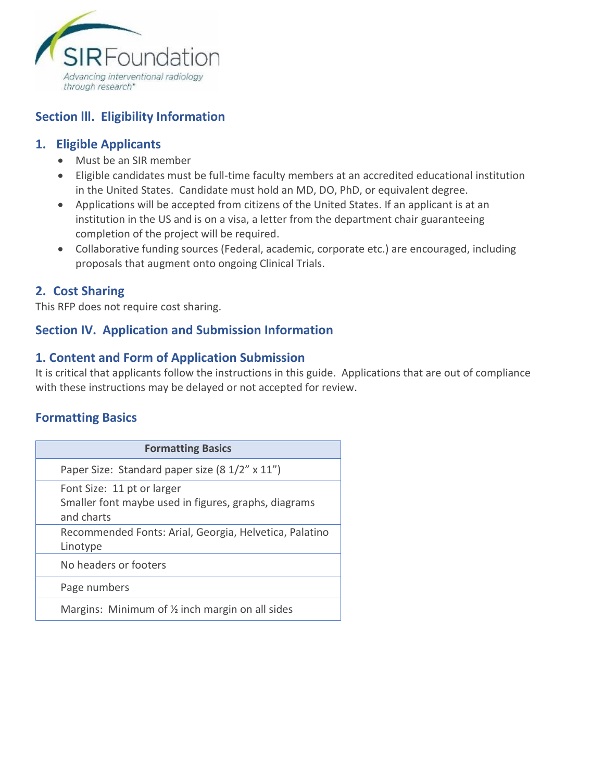

### **Section lll. Eligibility Information**

#### **1. Eligible Applicants**

- Must be an SIR member
- Eligible candidates must be full-time faculty members at an accredited educational institution in the United States. Candidate must hold an MD, DO, PhD, or equivalent degree.
- Applications will be accepted from citizens of the United States. If an applicant is at an institution in the US and is on a visa, a letter from the department chair guaranteeing completion of the project will be required.
- Collaborative funding sources (Federal, academic, corporate etc.) are encouraged, including proposals that augment onto ongoing Clinical Trials.

#### **2. Cost Sharing**

This RFP does not require cost sharing.

#### **Section IV. Application and Submission Information**

### **1. Content and Form of Application Submission**

It is critical that applicants follow the instructions in this guide. Applications that are out of compliance with these instructions may be delayed or not accepted for review.

#### **Formatting Basics**

| <b>Formatting Basics</b>                                                                         |
|--------------------------------------------------------------------------------------------------|
| Paper Size: Standard paper size (8 1/2" x 11")                                                   |
| Font Size: 11 pt or larger<br>Smaller font maybe used in figures, graphs, diagrams<br>and charts |
| Recommended Fonts: Arial, Georgia, Helvetica, Palatino<br>Linotype                               |
| No headers or footers                                                                            |
| Page numbers                                                                                     |
| Margins: Minimum of $\frac{1}{2}$ inch margin on all sides                                       |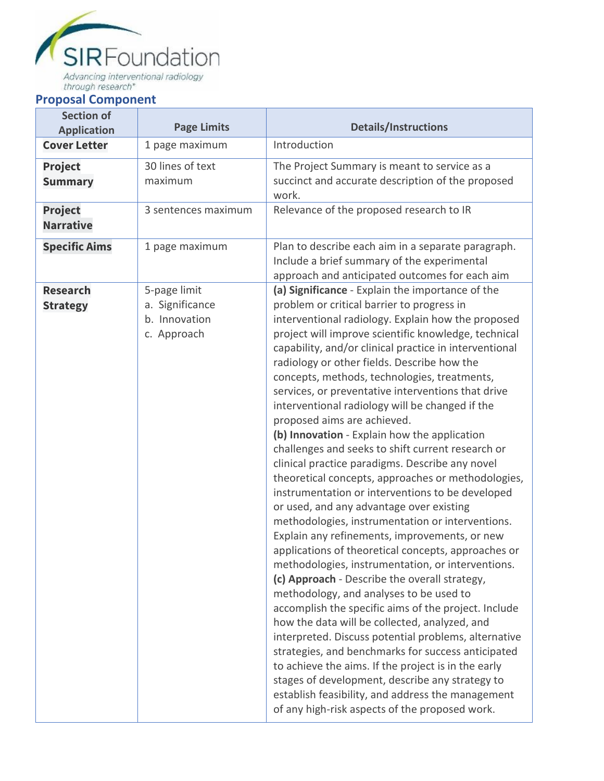

# **Proposal Component**

| <b>Section of</b><br><b>Application</b> | <b>Page Limits</b>                                              | <b>Details/Instructions</b>                                                                                                                                                                                                                                                                                                                                                                                                                                                                                                                                                                                                                                                                                                                                                                                                                                                                                                                                                                                                                                                                                                                                                                                                                                                                                                                                                                                                                                                                                                                                                      |
|-----------------------------------------|-----------------------------------------------------------------|----------------------------------------------------------------------------------------------------------------------------------------------------------------------------------------------------------------------------------------------------------------------------------------------------------------------------------------------------------------------------------------------------------------------------------------------------------------------------------------------------------------------------------------------------------------------------------------------------------------------------------------------------------------------------------------------------------------------------------------------------------------------------------------------------------------------------------------------------------------------------------------------------------------------------------------------------------------------------------------------------------------------------------------------------------------------------------------------------------------------------------------------------------------------------------------------------------------------------------------------------------------------------------------------------------------------------------------------------------------------------------------------------------------------------------------------------------------------------------------------------------------------------------------------------------------------------------|
| <b>Cover Letter</b>                     | 1 page maximum                                                  | Introduction                                                                                                                                                                                                                                                                                                                                                                                                                                                                                                                                                                                                                                                                                                                                                                                                                                                                                                                                                                                                                                                                                                                                                                                                                                                                                                                                                                                                                                                                                                                                                                     |
| <b>Project</b><br><b>Summary</b>        | 30 lines of text<br>maximum                                     | The Project Summary is meant to service as a<br>succinct and accurate description of the proposed<br>work.                                                                                                                                                                                                                                                                                                                                                                                                                                                                                                                                                                                                                                                                                                                                                                                                                                                                                                                                                                                                                                                                                                                                                                                                                                                                                                                                                                                                                                                                       |
| <b>Project</b><br><b>Narrative</b>      | 3 sentences maximum                                             | Relevance of the proposed research to IR                                                                                                                                                                                                                                                                                                                                                                                                                                                                                                                                                                                                                                                                                                                                                                                                                                                                                                                                                                                                                                                                                                                                                                                                                                                                                                                                                                                                                                                                                                                                         |
| <b>Specific Aims</b>                    | 1 page maximum                                                  | Plan to describe each aim in a separate paragraph.<br>Include a brief summary of the experimental<br>approach and anticipated outcomes for each aim                                                                                                                                                                                                                                                                                                                                                                                                                                                                                                                                                                                                                                                                                                                                                                                                                                                                                                                                                                                                                                                                                                                                                                                                                                                                                                                                                                                                                              |
| <b>Research</b><br><b>Strategy</b>      | 5-page limit<br>a. Significance<br>b. Innovation<br>c. Approach | (a) Significance - Explain the importance of the<br>problem or critical barrier to progress in<br>interventional radiology. Explain how the proposed<br>project will improve scientific knowledge, technical<br>capability, and/or clinical practice in interventional<br>radiology or other fields. Describe how the<br>concepts, methods, technologies, treatments,<br>services, or preventative interventions that drive<br>interventional radiology will be changed if the<br>proposed aims are achieved.<br>(b) Innovation - Explain how the application<br>challenges and seeks to shift current research or<br>clinical practice paradigms. Describe any novel<br>theoretical concepts, approaches or methodologies,<br>instrumentation or interventions to be developed<br>or used, and any advantage over existing<br>methodologies, instrumentation or interventions.<br>Explain any refinements, improvements, or new<br>applications of theoretical concepts, approaches or<br>methodologies, instrumentation, or interventions.<br>(c) Approach - Describe the overall strategy,<br>methodology, and analyses to be used to<br>accomplish the specific aims of the project. Include<br>how the data will be collected, analyzed, and<br>interpreted. Discuss potential problems, alternative<br>strategies, and benchmarks for success anticipated<br>to achieve the aims. If the project is in the early<br>stages of development, describe any strategy to<br>establish feasibility, and address the management<br>of any high-risk aspects of the proposed work. |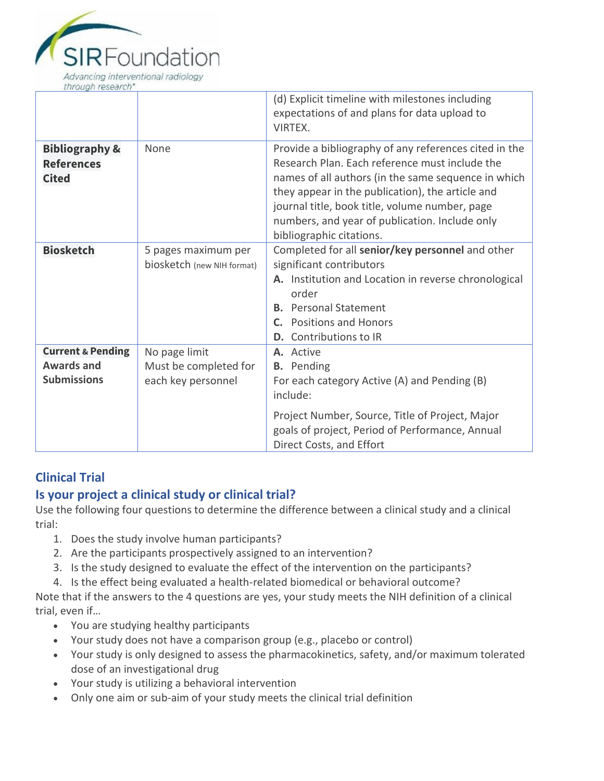

|                                                                         |                                                              | (d) Explicit timeline with milestones including<br>expectations of and plans for data upload to<br>VIRTEX.                                                                                                                                                                                                                                         |
|-------------------------------------------------------------------------|--------------------------------------------------------------|----------------------------------------------------------------------------------------------------------------------------------------------------------------------------------------------------------------------------------------------------------------------------------------------------------------------------------------------------|
| <b>Bibliography &amp;</b><br><b>References</b><br><b>Cited</b>          | None                                                         | Provide a bibliography of any references cited in the<br>Research Plan. Each reference must include the<br>names of all authors (in the same sequence in which<br>they appear in the publication), the article and<br>journal title, book title, volume number, page<br>numbers, and year of publication. Include only<br>bibliographic citations. |
| <b>Biosketch</b>                                                        | 5 pages maximum per<br>biosketch (new NIH format)            | Completed for all senior/key personnel and other<br>significant contributors<br>A. Institution and Location in reverse chronological<br>order<br><b>B.</b> Personal Statement<br><b>Positions and Honors</b><br>$\mathsf{C}$ .<br>Contributions to IR<br>D.                                                                                        |
| <b>Current &amp; Pending</b><br><b>Awards and</b><br><b>Submissions</b> | No page limit<br>Must be completed for<br>each key personnel | A. Active<br><b>B.</b> Pending<br>For each category Active (A) and Pending (B)<br>include:<br>Project Number, Source, Title of Project, Major                                                                                                                                                                                                      |
|                                                                         |                                                              | goals of project, Period of Performance, Annual<br>Direct Costs, and Effort                                                                                                                                                                                                                                                                        |

## **Clinical Trial**

## **Is your project a clinical study or clinical trial?**

Use the following four questions to determine the difference between a clinical study and a clinical trial:

- 1. Does the study involve human participants?
- 2. Are the participants prospectively assigned to an intervention?
- 3. Is the study designed to evaluate the effect of the intervention on the participants?
- 4. Is the effect being evaluated a health-related biomedical or behavioral outcome?

Note that if the answers to the 4 questions are yes, your study meets the NIH definition of a clinical trial, even if…

- You are studying healthy participants
- Your study does not have a comparison group (e.g., placebo or control)
- Your study is only designed to assess the pharmacokinetics, safety, and/or maximum tolerated dose of an investigational drug
- Your study is utilizing a behavioral intervention
- Only one aim or sub-aim of your study meets the clinical trial definition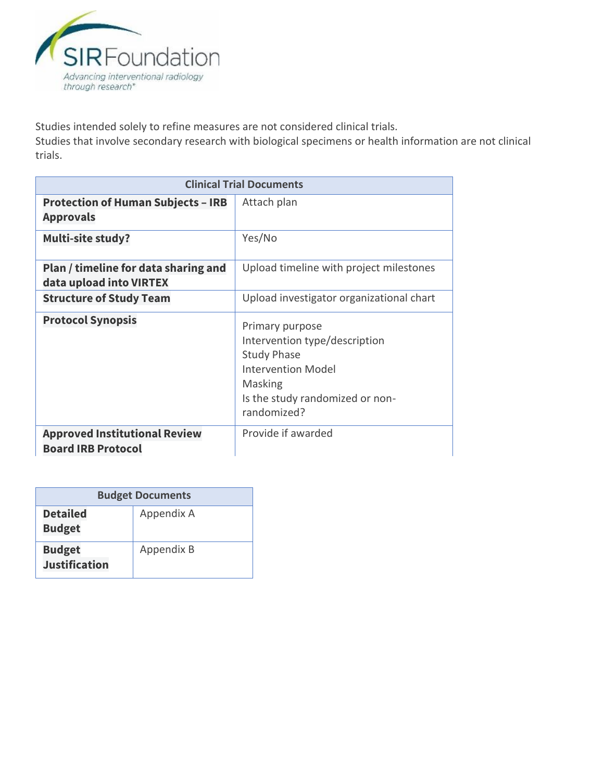

Studies intended solely to refine measures are not considered clinical trials.

Studies that involve secondary research with biological specimens or health information are not clinical trials.

| <b>Clinical Trial Documents</b>                                   |                                                                                                                                                                  |  |
|-------------------------------------------------------------------|------------------------------------------------------------------------------------------------------------------------------------------------------------------|--|
| <b>Protection of Human Subjects - IRB</b><br><b>Approvals</b>     | Attach plan                                                                                                                                                      |  |
| <b>Multi-site study?</b>                                          | Yes/No                                                                                                                                                           |  |
| Plan / timeline for data sharing and<br>data upload into VIRTEX   | Upload timeline with project milestones                                                                                                                          |  |
| <b>Structure of Study Team</b>                                    | Upload investigator organizational chart                                                                                                                         |  |
| <b>Protocol Synopsis</b>                                          | Primary purpose<br>Intervention type/description<br><b>Study Phase</b><br><b>Intervention Model</b><br>Masking<br>Is the study randomized or non-<br>randomized? |  |
| <b>Approved Institutional Review</b><br><b>Board IRB Protocol</b> | Provide if awarded                                                                                                                                               |  |

| <b>Budget Documents</b>               |            |  |
|---------------------------------------|------------|--|
| <b>Detailed</b><br><b>Budget</b>      | Appendix A |  |
| <b>Budget</b><br><b>Justification</b> | Appendix B |  |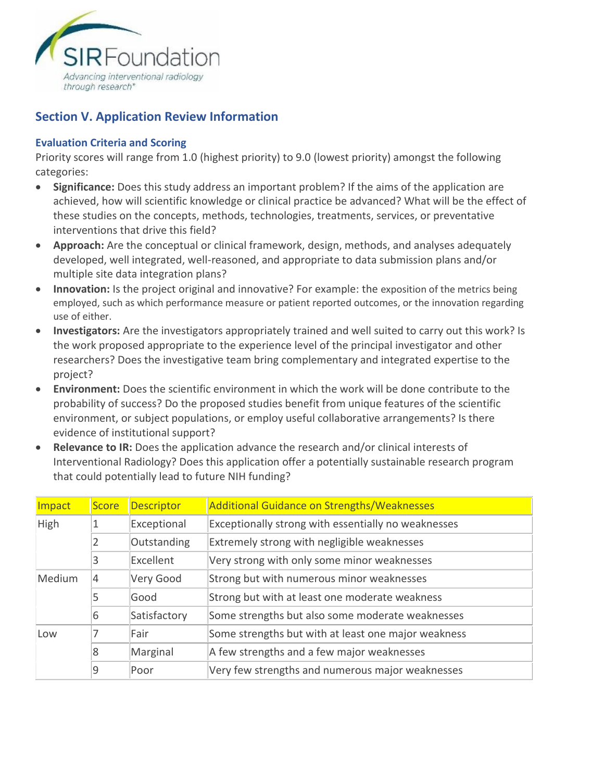

#### **Section V. Application Review Information**

#### **Evaluation Criteria and Scoring**

Priority scores will range from 1.0 (highest priority) to 9.0 (lowest priority) amongst the following categories:

- **Significance:** Does this study address an important problem? If the aims of the application are achieved, how will scientific knowledge or clinical practice be advanced? What will be the effect of these studies on the concepts, methods, technologies, treatments, services, or preventative interventions that drive this field?
- **Approach:** Are the conceptual or clinical framework, design, methods, and analyses adequately developed, well integrated, well-reasoned, and appropriate to data submission plans and/or multiple site data integration plans?
- **Innovation:** Is the project original and innovative? For example: the exposition of the metrics being employed, such as which performance measure or patient reported outcomes, or the innovation regarding use of either.
- **Investigators:** Are the investigators appropriately trained and well suited to carry out this work? Is the work proposed appropriate to the experience level of the principal investigator and other researchers? Does the investigative team bring complementary and integrated expertise to the project?
- **Environment:** Does the scientific environment in which the work will be done contribute to the probability of success? Do the proposed studies benefit from unique features of the scientific environment, or subject populations, or employ useful collaborative arrangements? Is there evidence of institutional support?
- **Relevance to IR:** Does the application advance the research and/or clinical interests of Interventional Radiology? Does this application offer a potentially sustainable research program that could potentially lead to future NIH funding?

| Impact                   | <b>Score</b> | <b>Descriptor</b>                         | <b>Additional Guidance on Strengths/Weaknesses</b>  |
|--------------------------|--------------|-------------------------------------------|-----------------------------------------------------|
| High                     |              | Exceptional                               | Exceptionally strong with essentially no weaknesses |
|                          | 2            | Outstanding                               | Extremely strong with negligible weaknesses         |
|                          | 3            | Excellent                                 | Very strong with only some minor weaknesses         |
| Medium<br>Very Good<br>4 |              | Strong but with numerous minor weaknesses |                                                     |
| 5                        |              | Good                                      | Strong but with at least one moderate weakness      |
|                          | 6            | Satisfactory                              | Some strengths but also some moderate weaknesses    |
| Low                      |              | Fair                                      | Some strengths but with at least one major weakness |
|                          | 8            | Marginal                                  | A few strengths and a few major weaknesses          |
|                          | 9            | Poor                                      | Very few strengths and numerous major weaknesses    |